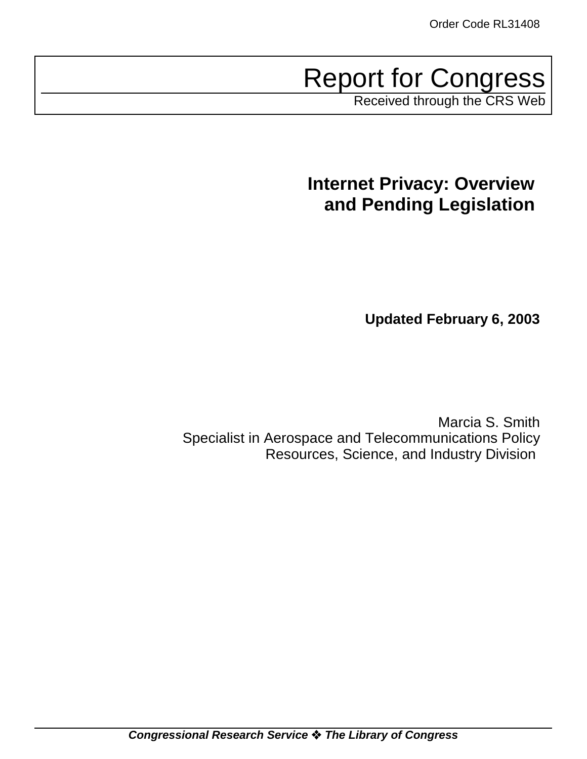**Report for Congress** 

Received through the CRS Web

# **Internet Privacy: Overview and Pending Legislation**

**Updated February 6, 2003**

Marcia S. Smith Specialist in Aerospace and Telecommunications Policy Resources, Science, and Industry Division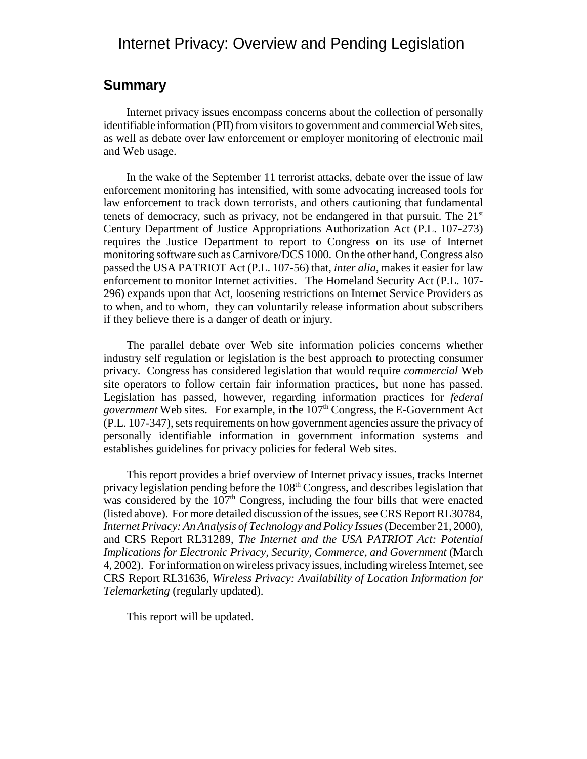## Internet Privacy: Overview and Pending Legislation

#### **Summary**

Internet privacy issues encompass concerns about the collection of personally identifiable information (PII) from visitors to government and commercial Web sites, as well as debate over law enforcement or employer monitoring of electronic mail and Web usage.

In the wake of the September 11 terrorist attacks, debate over the issue of law enforcement monitoring has intensified, with some advocating increased tools for law enforcement to track down terrorists, and others cautioning that fundamental tenets of democracy, such as privacy, not be endangered in that pursuit. The  $21<sup>st</sup>$ Century Department of Justice Appropriations Authorization Act (P.L. 107-273) requires the Justice Department to report to Congress on its use of Internet monitoring software such as Carnivore/DCS 1000. On the other hand, Congress also passed the USA PATRIOT Act (P.L. 107-56) that, *inter alia*, makes it easier for law enforcement to monitor Internet activities. The Homeland Security Act (P.L. 107- 296) expands upon that Act, loosening restrictions on Internet Service Providers as to when, and to whom, they can voluntarily release information about subscribers if they believe there is a danger of death or injury.

The parallel debate over Web site information policies concerns whether industry self regulation or legislation is the best approach to protecting consumer privacy. Congress has considered legislation that would require *commercial* Web site operators to follow certain fair information practices, but none has passed. Legislation has passed, however, regarding information practices for *federal government* Web sites. For example, in the 107th Congress, the E-Government Act (P.L. 107-347), sets requirements on how government agencies assure the privacy of personally identifiable information in government information systems and establishes guidelines for privacy policies for federal Web sites.

This report provides a brief overview of Internet privacy issues, tracks Internet privacy legislation pending before the 108<sup>th</sup> Congress, and describes legislation that was considered by the  $107<sup>th</sup>$  Congress, including the four bills that were enacted (listed above). For more detailed discussion of the issues, see CRS Report RL30784, *Internet Privacy: An Analysis of Technology and Policy Issues* (December 21, 2000), and CRS Report RL31289, *The Internet and the USA PATRIOT Act: Potential Implications for Electronic Privacy, Security, Commerce, and Government* (March 4, 2002). For information on wireless privacy issues, including wireless Internet, see CRS Report RL31636, *Wireless Privacy: Availability of Location Information for Telemarketing* (regularly updated).

This report will be updated.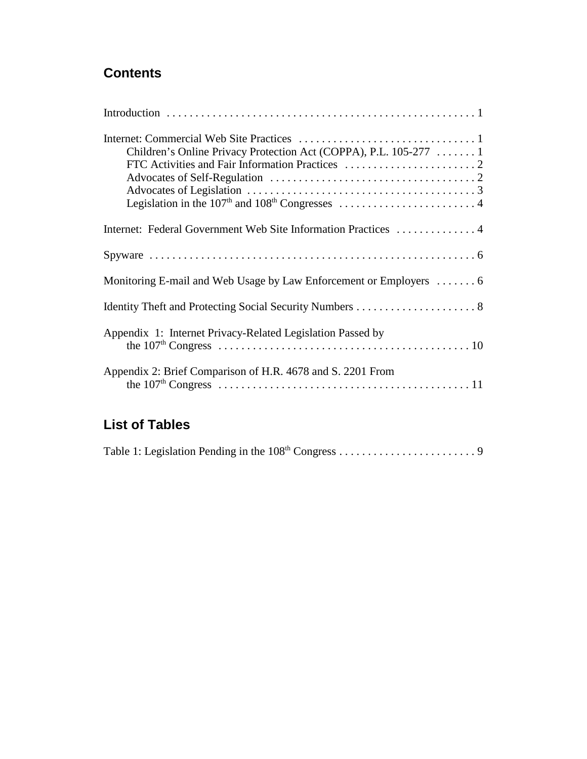# **Contents**

| Children's Online Privacy Protection Act (COPPA), P.L. 105-277 |
|----------------------------------------------------------------|
| Internet: Federal Government Web Site Information Practices  4 |
|                                                                |
|                                                                |
|                                                                |
| Appendix 1: Internet Privacy-Related Legislation Passed by     |
| Appendix 2: Brief Comparison of H.R. 4678 and S. 2201 From     |

# **List of Tables**

|--|--|--|--|--|--|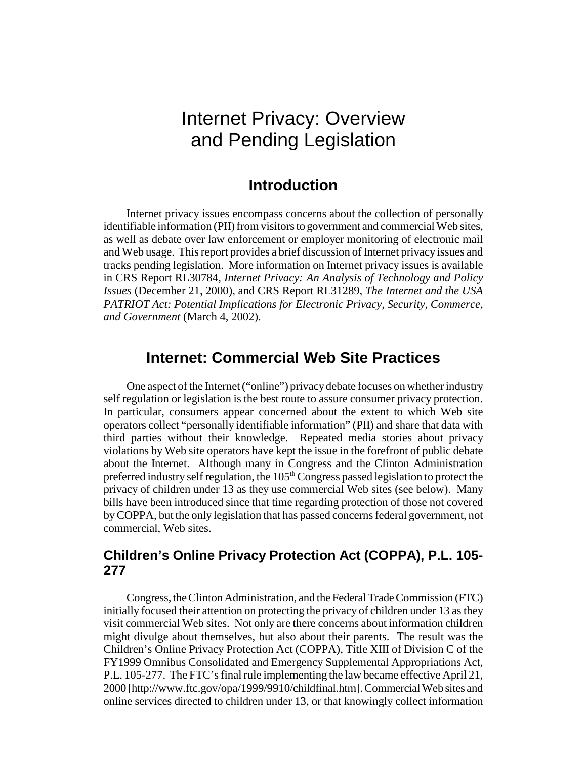# Internet Privacy: Overview and Pending Legislation

### **Introduction**

Internet privacy issues encompass concerns about the collection of personally identifiable information (PII) from visitors to government and commercial Web sites, as well as debate over law enforcement or employer monitoring of electronic mail and Web usage. This report provides a brief discussion of Internet privacy issues and tracks pending legislation. More information on Internet privacy issues is available in CRS Report RL30784, *Internet Privacy: An Analysis of Technology and Policy Issues* (December 21, 2000), and CRS Report RL31289, *The Internet and the USA PATRIOT Act: Potential Implications for Electronic Privacy, Security, Commerce, and Government* (March 4, 2002).

#### **Internet: Commercial Web Site Practices**

One aspect of the Internet ("online") privacy debate focuses on whether industry self regulation or legislation is the best route to assure consumer privacy protection. In particular, consumers appear concerned about the extent to which Web site operators collect "personally identifiable information" (PII) and share that data with third parties without their knowledge. Repeated media stories about privacy violations by Web site operators have kept the issue in the forefront of public debate about the Internet. Although many in Congress and the Clinton Administration preferred industry self regulation, the 105<sup>th</sup> Congress passed legislation to protect the privacy of children under 13 as they use commercial Web sites (see below). Many bills have been introduced since that time regarding protection of those not covered by COPPA, but the only legislation that has passed concerns federal government, not commercial, Web sites.

#### **Children's Online Privacy Protection Act (COPPA), P.L. 105- 277**

Congress, the Clinton Administration, and the Federal Trade Commission (FTC) initially focused their attention on protecting the privacy of children under 13 as they visit commercial Web sites. Not only are there concerns about information children might divulge about themselves, but also about their parents. The result was the Children's Online Privacy Protection Act (COPPA), Title XIII of Division C of the FY1999 Omnibus Consolidated and Emergency Supplemental Appropriations Act, P.L. 105-277. The FTC's final rule implementing the law became effective April 21, 2000 [http://www.ftc.gov/opa/1999/9910/childfinal.htm]. Commercial Web sites and online services directed to children under 13, or that knowingly collect information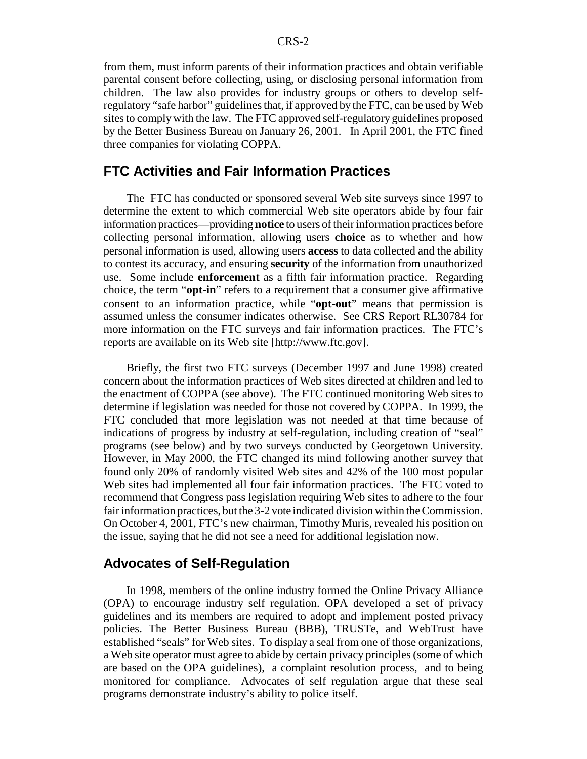from them, must inform parents of their information practices and obtain verifiable parental consent before collecting, using, or disclosing personal information from children. The law also provides for industry groups or others to develop selfregulatory "safe harbor" guidelines that, if approved by the FTC, can be used by Web sites to comply with the law. The FTC approved self-regulatory guidelines proposed by the Better Business Bureau on January 26, 2001. In April 2001, the FTC fined three companies for violating COPPA.

#### **FTC Activities and Fair Information Practices**

The FTC has conducted or sponsored several Web site surveys since 1997 to determine the extent to which commercial Web site operators abide by four fair information practices—providing **notice** to users of their information practices before collecting personal information, allowing users **choice** as to whether and how personal information is used, allowing users **access** to data collected and the ability to contest its accuracy, and ensuring **security** of the information from unauthorized use. Some include **enforcement** as a fifth fair information practice. Regarding choice, the term "**opt-in**" refers to a requirement that a consumer give affirmative consent to an information practice, while "**opt-out**" means that permission is assumed unless the consumer indicates otherwise. See CRS Report RL30784 for more information on the FTC surveys and fair information practices. The FTC's reports are available on its Web site [http://www.ftc.gov].

Briefly, the first two FTC surveys (December 1997 and June 1998) created concern about the information practices of Web sites directed at children and led to the enactment of COPPA (see above). The FTC continued monitoring Web sites to determine if legislation was needed for those not covered by COPPA. In 1999, the FTC concluded that more legislation was not needed at that time because of indications of progress by industry at self-regulation, including creation of "seal" programs (see below) and by two surveys conducted by Georgetown University. However, in May 2000, the FTC changed its mind following another survey that found only 20% of randomly visited Web sites and 42% of the 100 most popular Web sites had implemented all four fair information practices. The FTC voted to recommend that Congress pass legislation requiring Web sites to adhere to the four fair information practices, but the 3-2 vote indicated division within the Commission. On October 4, 2001, FTC's new chairman, Timothy Muris, revealed his position on the issue, saying that he did not see a need for additional legislation now.

#### **Advocates of Self-Regulation**

In 1998, members of the online industry formed the Online Privacy Alliance (OPA) to encourage industry self regulation. OPA developed a set of privacy guidelines and its members are required to adopt and implement posted privacy policies. The Better Business Bureau (BBB), TRUSTe, and WebTrust have established "seals" for Web sites. To display a seal from one of those organizations, a Web site operator must agree to abide by certain privacy principles (some of which are based on the OPA guidelines), a complaint resolution process, and to being monitored for compliance. Advocates of self regulation argue that these seal programs demonstrate industry's ability to police itself.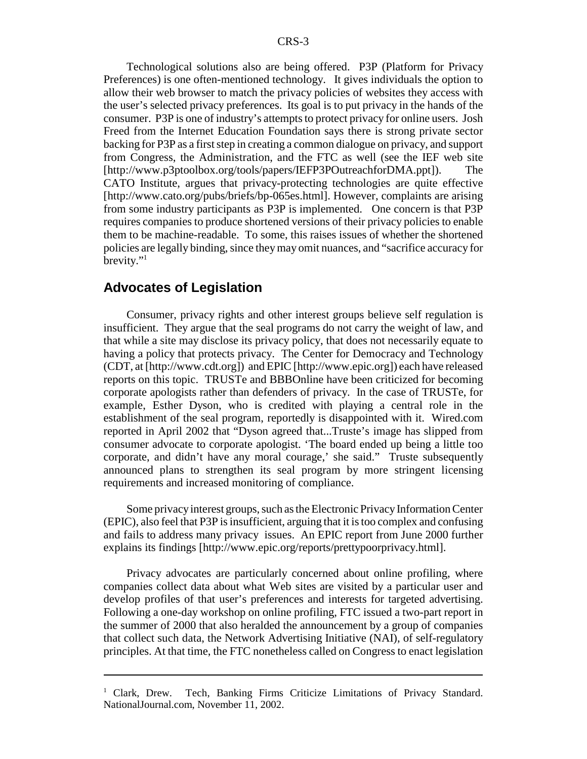Technological solutions also are being offered. P3P (Platform for Privacy Preferences) is one often-mentioned technology. It gives individuals the option to allow their web browser to match the privacy policies of websites they access with the user's selected privacy preferences. Its goal is to put privacy in the hands of the consumer. P3P is one of industry's attempts to protect privacy for online users. Josh Freed from the Internet Education Foundation says there is strong private sector backing for P3P as a first step in creating a common dialogue on privacy, and support from Congress, the Administration, and the FTC as well (see the IEF web site [http://www.p3ptoolbox.org/tools/papers/IEFP3POutreachforDMA.ppt]). The CATO Institute, argues that privacy-protecting technologies are quite effective [http://www.cato.org/pubs/briefs/bp-065es.html]. However, complaints are arising from some industry participants as P3P is implemented. One concern is that P3P requires companies to produce shortened versions of their privacy policies to enable them to be machine-readable. To some, this raises issues of whether the shortened policies are legally binding, since they may omit nuances, and "sacrifice accuracy for brevity."<sup>1</sup>

#### **Advocates of Legislation**

Consumer, privacy rights and other interest groups believe self regulation is insufficient. They argue that the seal programs do not carry the weight of law, and that while a site may disclose its privacy policy, that does not necessarily equate to having a policy that protects privacy. The Center for Democracy and Technology (CDT, at [http://www.cdt.org]) and EPIC [http://www.epic.org]) each have released reports on this topic. TRUSTe and BBBOnline have been criticized for becoming corporate apologists rather than defenders of privacy. In the case of TRUSTe, for example, Esther Dyson, who is credited with playing a central role in the establishment of the seal program, reportedly is disappointed with it. Wired.com reported in April 2002 that "Dyson agreed that...Truste's image has slipped from consumer advocate to corporate apologist. 'The board ended up being a little too corporate, and didn't have any moral courage,' she said." Truste subsequently announced plans to strengthen its seal program by more stringent licensing requirements and increased monitoring of compliance.

Some privacy interest groups, such as the Electronic Privacy Information Center (EPIC), also feel that P3P is insufficient, arguing that it is too complex and confusing and fails to address many privacy issues. An EPIC report from June 2000 further explains its findings [http://www.epic.org/reports/prettypoorprivacy.html].

Privacy advocates are particularly concerned about online profiling, where companies collect data about what Web sites are visited by a particular user and develop profiles of that user's preferences and interests for targeted advertising. Following a one-day workshop on online profiling, FTC issued a two-part report in the summer of 2000 that also heralded the announcement by a group of companies that collect such data, the Network Advertising Initiative (NAI), of self-regulatory principles. At that time, the FTC nonetheless called on Congress to enact legislation

<sup>&</sup>lt;sup>1</sup> Clark. Drew. Tech, Banking Firms Criticize Limitations of Privacy Standard. NationalJournal.com, November 11, 2002.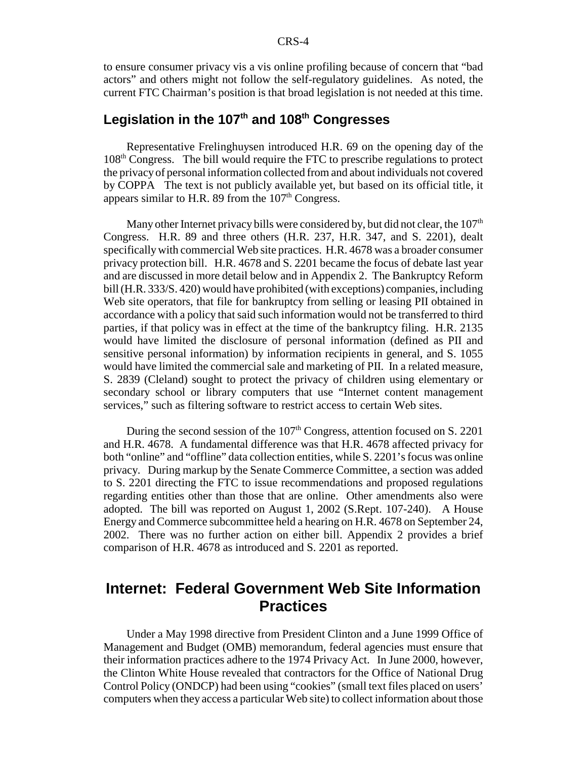to ensure consumer privacy vis a vis online profiling because of concern that "bad actors" and others might not follow the self-regulatory guidelines. As noted, the current FTC Chairman's position is that broad legislation is not needed at this time.

## Legislation in the 107<sup>th</sup> and 108<sup>th</sup> Congresses

Representative Frelinghuysen introduced H.R. 69 on the opening day of the 108th Congress. The bill would require the FTC to prescribe regulations to protect the privacy of personal information collected from and about individuals not covered by COPPA The text is not publicly available yet, but based on its official title, it appears similar to H.R. 89 from the  $107<sup>th</sup>$  Congress.

Many other Internet privacy bills were considered by, but did not clear, the  $107<sup>th</sup>$ Congress. H.R. 89 and three others (H.R. 237, H.R. 347, and S. 2201), dealt specifically with commercial Web site practices. H.R. 4678 was a broader consumer privacy protection bill. H.R. 4678 and S. 2201 became the focus of debate last year and are discussed in more detail below and in Appendix 2. The Bankruptcy Reform bill (H.R. 333/S. 420) would have prohibited (with exceptions) companies, including Web site operators, that file for bankruptcy from selling or leasing PII obtained in accordance with a policy that said such information would not be transferred to third parties, if that policy was in effect at the time of the bankruptcy filing. H.R. 2135 would have limited the disclosure of personal information (defined as PII and sensitive personal information) by information recipients in general, and S. 1055 would have limited the commercial sale and marketing of PII. In a related measure, S. 2839 (Cleland) sought to protect the privacy of children using elementary or secondary school or library computers that use "Internet content management services," such as filtering software to restrict access to certain Web sites.

During the second session of the  $107<sup>th</sup>$  Congress, attention focused on S. 2201 and H.R. 4678. A fundamental difference was that H.R. 4678 affected privacy for both "online" and "offline" data collection entities, while S. 2201's focus was online privacy. During markup by the Senate Commerce Committee, a section was added to S. 2201 directing the FTC to issue recommendations and proposed regulations regarding entities other than those that are online. Other amendments also were adopted. The bill was reported on August 1, 2002 (S.Rept. 107-240). A House Energy and Commerce subcommittee held a hearing on H.R. 4678 on September 24, 2002. There was no further action on either bill. Appendix 2 provides a brief comparison of H.R. 4678 as introduced and S. 2201 as reported.

### **Internet: Federal Government Web Site Information Practices**

Under a May 1998 directive from President Clinton and a June 1999 Office of Management and Budget (OMB) memorandum, federal agencies must ensure that their information practices adhere to the 1974 Privacy Act. In June 2000, however, the Clinton White House revealed that contractors for the Office of National Drug Control Policy (ONDCP) had been using "cookies" (small text files placed on users' computers when they access a particular Web site) to collect information about those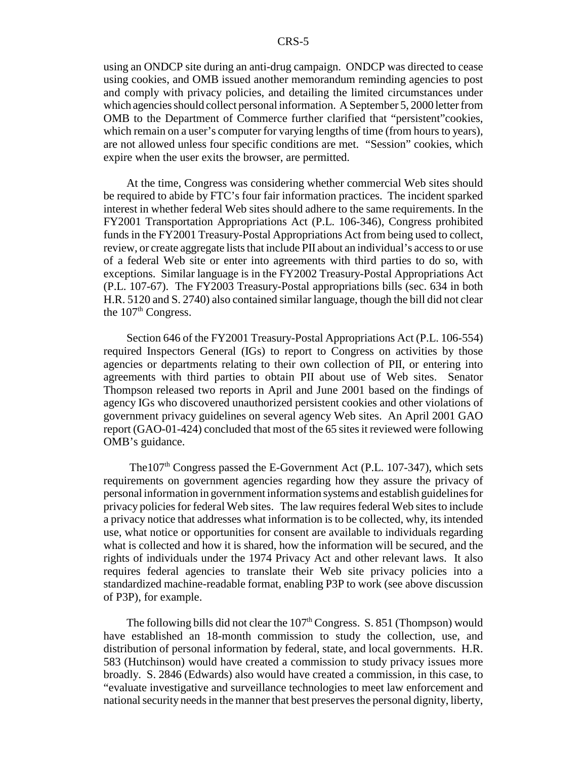using an ONDCP site during an anti-drug campaign. ONDCP was directed to cease using cookies, and OMB issued another memorandum reminding agencies to post and comply with privacy policies, and detailing the limited circumstances under which agencies should collect personal information. A September 5, 2000 letter from OMB to the Department of Commerce further clarified that "persistent"cookies, which remain on a user's computer for varying lengths of time (from hours to years), are not allowed unless four specific conditions are met. "Session" cookies, which expire when the user exits the browser, are permitted.

At the time, Congress was considering whether commercial Web sites should be required to abide by FTC's four fair information practices. The incident sparked interest in whether federal Web sites should adhere to the same requirements. In the FY2001 Transportation Appropriations Act (P.L. 106-346), Congress prohibited funds in the FY2001 Treasury-Postal Appropriations Act from being used to collect, review, or create aggregate lists that include PII about an individual's access to or use of a federal Web site or enter into agreements with third parties to do so, with exceptions. Similar language is in the FY2002 Treasury-Postal Appropriations Act (P.L. 107-67). The FY2003 Treasury-Postal appropriations bills (sec. 634 in both H.R. 5120 and S. 2740) also contained similar language, though the bill did not clear the  $107<sup>th</sup> Congress.$ 

Section 646 of the FY2001 Treasury-Postal Appropriations Act (P.L. 106-554) required Inspectors General (IGs) to report to Congress on activities by those agencies or departments relating to their own collection of PII, or entering into agreements with third parties to obtain PII about use of Web sites. Senator Thompson released two reports in April and June 2001 based on the findings of agency IGs who discovered unauthorized persistent cookies and other violations of government privacy guidelines on several agency Web sites. An April 2001 GAO report (GAO-01-424) concluded that most of the 65 sites it reviewed were following OMB's guidance.

The $107<sup>th</sup>$  Congress passed the E-Government Act (P.L. 107-347), which sets requirements on government agencies regarding how they assure the privacy of personal information in government information systems and establish guidelines for privacy policies for federal Web sites. The law requires federal Web sites to include a privacy notice that addresses what information is to be collected, why, its intended use, what notice or opportunities for consent are available to individuals regarding what is collected and how it is shared, how the information will be secured, and the rights of individuals under the 1974 Privacy Act and other relevant laws. It also requires federal agencies to translate their Web site privacy policies into a standardized machine-readable format, enabling P3P to work (see above discussion of P3P), for example.

The following bills did not clear the  $107<sup>th</sup>$  Congress. S. 851 (Thompson) would have established an 18-month commission to study the collection, use, and distribution of personal information by federal, state, and local governments. H.R. 583 (Hutchinson) would have created a commission to study privacy issues more broadly. S. 2846 (Edwards) also would have created a commission, in this case, to "evaluate investigative and surveillance technologies to meet law enforcement and national security needs in the manner that best preserves the personal dignity, liberty,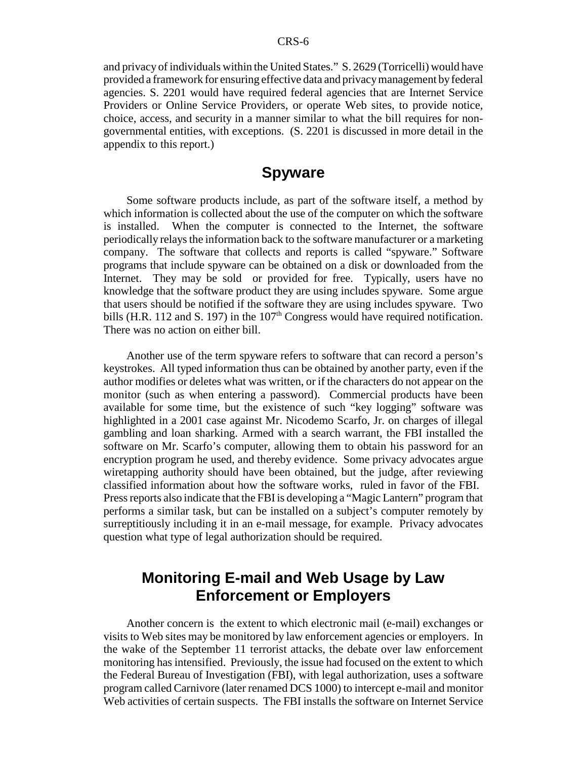and privacy of individuals within the United States." S. 2629 (Torricelli) would have provided a framework for ensuring effective data and privacy management by federal agencies. S. 2201 would have required federal agencies that are Internet Service Providers or Online Service Providers, or operate Web sites, to provide notice, choice, access, and security in a manner similar to what the bill requires for nongovernmental entities, with exceptions. (S. 2201 is discussed in more detail in the appendix to this report.)

### **Spyware**

Some software products include, as part of the software itself, a method by which information is collected about the use of the computer on which the software is installed. When the computer is connected to the Internet, the software periodically relays the information back to the software manufacturer or a marketing company. The software that collects and reports is called "spyware." Software programs that include spyware can be obtained on a disk or downloaded from the Internet. They may be sold or provided for free. Typically, users have no knowledge that the software product they are using includes spyware. Some argue that users should be notified if the software they are using includes spyware. Two bills (H.R. 112 and S. 197) in the  $107<sup>th</sup>$  Congress would have required notification. There was no action on either bill.

Another use of the term spyware refers to software that can record a person's keystrokes. All typed information thus can be obtained by another party, even if the author modifies or deletes what was written, or if the characters do not appear on the monitor (such as when entering a password). Commercial products have been available for some time, but the existence of such "key logging" software was highlighted in a 2001 case against Mr. Nicodemo Scarfo, Jr. on charges of illegal gambling and loan sharking. Armed with a search warrant, the FBI installed the software on Mr. Scarfo's computer, allowing them to obtain his password for an encryption program he used, and thereby evidence. Some privacy advocates argue wiretapping authority should have been obtained, but the judge, after reviewing classified information about how the software works, ruled in favor of the FBI. Press reports also indicate that the FBI is developing a "Magic Lantern" program that performs a similar task, but can be installed on a subject's computer remotely by surreptitiously including it in an e-mail message, for example. Privacy advocates question what type of legal authorization should be required.

# **Monitoring E-mail and Web Usage by Law Enforcement or Employers**

Another concern is the extent to which electronic mail (e-mail) exchanges or visits to Web sites may be monitored by law enforcement agencies or employers. In the wake of the September 11 terrorist attacks, the debate over law enforcement monitoring has intensified. Previously, the issue had focused on the extent to which the Federal Bureau of Investigation (FBI), with legal authorization, uses a software program called Carnivore (later renamed DCS 1000) to intercept e-mail and monitor Web activities of certain suspects. The FBI installs the software on Internet Service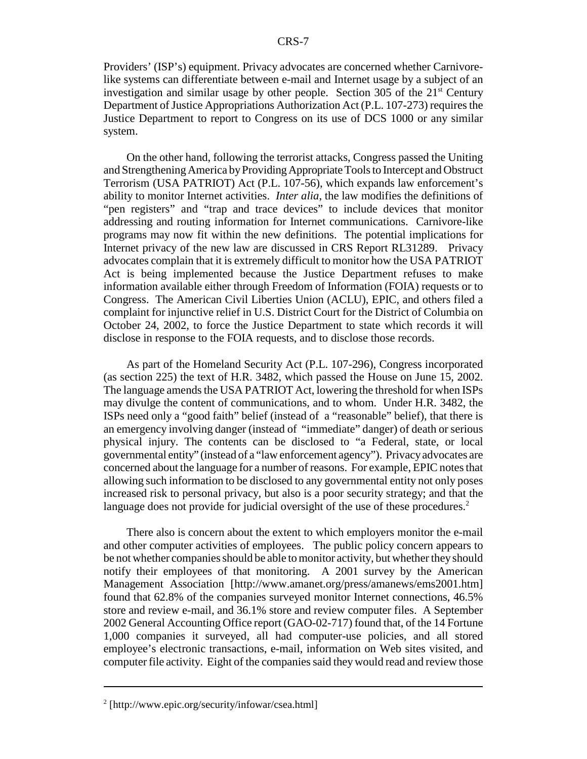Providers' (ISP's) equipment. Privacy advocates are concerned whether Carnivorelike systems can differentiate between e-mail and Internet usage by a subject of an investigation and similar usage by other people. Section 305 of the  $21<sup>st</sup>$  Century Department of Justice Appropriations Authorization Act (P.L. 107-273) requires the Justice Department to report to Congress on its use of DCS 1000 or any similar system.

On the other hand, following the terrorist attacks, Congress passed the Uniting and Strengthening America by Providing Appropriate Tools to Intercept and Obstruct Terrorism (USA PATRIOT) Act (P.L. 107-56), which expands law enforcement's ability to monitor Internet activities. *Inter alia*, the law modifies the definitions of "pen registers" and "trap and trace devices" to include devices that monitor addressing and routing information for Internet communications. Carnivore-like programs may now fit within the new definitions. The potential implications for Internet privacy of the new law are discussed in CRS Report RL31289. Privacy advocates complain that it is extremely difficult to monitor how the USA PATRIOT Act is being implemented because the Justice Department refuses to make information available either through Freedom of Information (FOIA) requests or to Congress. The American Civil Liberties Union (ACLU), EPIC, and others filed a complaint for injunctive relief in U.S. District Court for the District of Columbia on October 24, 2002, to force the Justice Department to state which records it will disclose in response to the FOIA requests, and to disclose those records.

As part of the Homeland Security Act (P.L. 107-296), Congress incorporated (as section 225) the text of H.R. 3482, which passed the House on June 15, 2002. The language amends the USA PATRIOT Act, lowering the threshold for when ISPs may divulge the content of communications, and to whom. Under H.R. 3482, the ISPs need only a "good faith" belief (instead of a "reasonable" belief), that there is an emergency involving danger (instead of "immediate" danger) of death or serious physical injury. The contents can be disclosed to "a Federal, state, or local governmental entity" (instead of a "law enforcement agency"). Privacy advocates are concerned about the language for a number of reasons. For example, EPIC notes that allowing such information to be disclosed to any governmental entity not only poses increased risk to personal privacy, but also is a poor security strategy; and that the language does not provide for judicial oversight of the use of these procedures.<sup>2</sup>

There also is concern about the extent to which employers monitor the e-mail and other computer activities of employees. The public policy concern appears to be not whether companies should be able to monitor activity, but whether they should notify their employees of that monitoring. A 2001 survey by the American Management Association [http://www.amanet.org/press/amanews/ems2001.htm] found that 62.8% of the companies surveyed monitor Internet connections, 46.5% store and review e-mail, and 36.1% store and review computer files. A September 2002 General Accounting Office report (GAO-02-717) found that, of the 14 Fortune 1,000 companies it surveyed, all had computer-use policies, and all stored employee's electronic transactions, e-mail, information on Web sites visited, and computer file activity. Eight of the companies said they would read and review those

<sup>&</sup>lt;sup>2</sup> [http://www.epic.org/security/infowar/csea.html]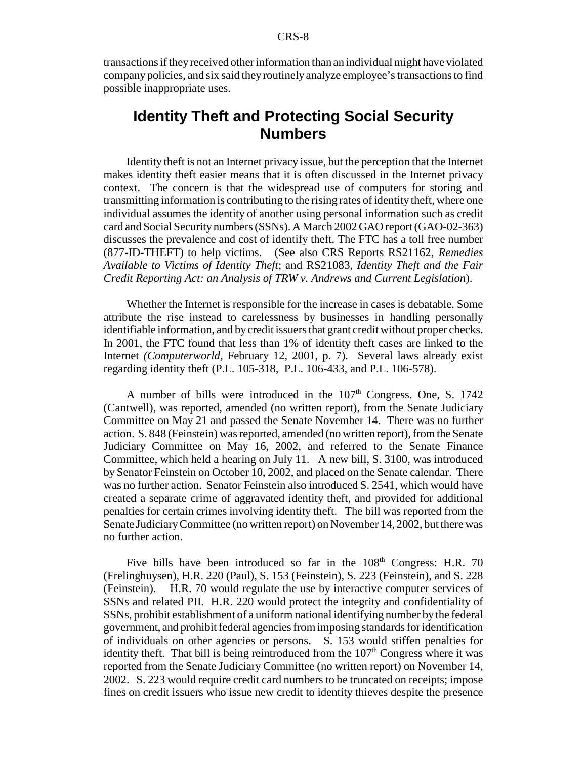transactions if they received other information than an individual might have violated company policies, and six said they routinely analyze employee's transactions to find possible inappropriate uses.

### **Identity Theft and Protecting Social Security Numbers**

Identity theft is not an Internet privacy issue, but the perception that the Internet makes identity theft easier means that it is often discussed in the Internet privacy context. The concern is that the widespread use of computers for storing and transmitting information is contributing to the rising rates of identity theft, where one individual assumes the identity of another using personal information such as credit card and Social Security numbers (SSNs). A March 2002 GAO report (GAO-02-363) discusses the prevalence and cost of identify theft. The FTC has a toll free number (877-ID-THEFT) to help victims. (See also CRS Reports RS21162, *Remedies Available to Victims of Identity Theft*; and RS21083, *Identity Theft and the Fair Credit Reporting Act: an Analysis of TRW v. Andrews and Current Legislation*).

Whether the Internet is responsible for the increase in cases is debatable. Some attribute the rise instead to carelessness by businesses in handling personally identifiable information, and by credit issuers that grant credit without proper checks. In 2001, the FTC found that less than 1% of identity theft cases are linked to the Internet *(Computerworld,* February 12, 2001, p. 7). Several laws already exist regarding identity theft (P.L. 105-318, P.L. 106-433, and P.L. 106-578).

A number of bills were introduced in the  $107<sup>th</sup>$  Congress. One, S. 1742 (Cantwell), was reported, amended (no written report), from the Senate Judiciary Committee on May 21 and passed the Senate November 14. There was no further action. S. 848 (Feinstein) was reported, amended (no written report), from the Senate Judiciary Committee on May 16, 2002, and referred to the Senate Finance Committee, which held a hearing on July 11. A new bill, S. 3100, was introduced by Senator Feinstein on October 10, 2002, and placed on the Senate calendar. There was no further action. Senator Feinstein also introduced S. 2541, which would have created a separate crime of aggravated identity theft, and provided for additional penalties for certain crimes involving identity theft. The bill was reported from the Senate Judiciary Committee (no written report) on November 14, 2002, but there was no further action.

Five bills have been introduced so far in the  $108<sup>th</sup>$  Congress: H.R. 70 (Frelinghuysen), H.R. 220 (Paul), S. 153 (Feinstein), S. 223 (Feinstein), and S. 228 (Feinstein). H.R. 70 would regulate the use by interactive computer services of SSNs and related PII. H.R. 220 would protect the integrity and confidentiality of SSNs, prohibit establishment of a uniform national identifying number by the federal government, and prohibit federal agencies from imposing standards for identification of individuals on other agencies or persons. S. 153 would stiffen penalties for identity theft. That bill is being reintroduced from the  $107<sup>th</sup>$  Congress where it was reported from the Senate Judiciary Committee (no written report) on November 14, 2002. S. 223 would require credit card numbers to be truncated on receipts; impose fines on credit issuers who issue new credit to identity thieves despite the presence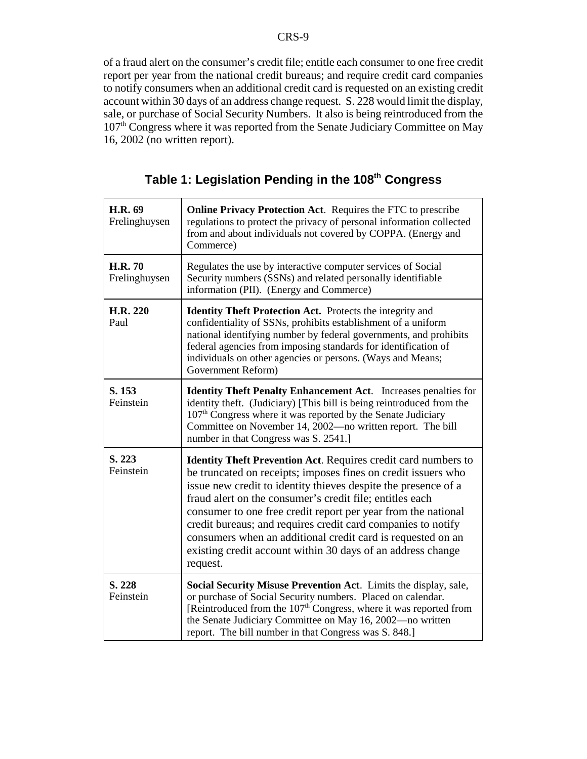of a fraud alert on the consumer's credit file; entitle each consumer to one free credit report per year from the national credit bureaus; and require credit card companies to notify consumers when an additional credit card is requested on an existing credit account within 30 days of an address change request. S. 228 would limit the display, sale, or purchase of Social Security Numbers. It also is being reintroduced from the 107<sup>th</sup> Congress where it was reported from the Senate Judiciary Committee on May 16, 2002 (no written report).

| Table 1: Legislation Pending in the 108 <sup>th</sup> Congress |  |  |
|----------------------------------------------------------------|--|--|
|----------------------------------------------------------------|--|--|

| <b>H.R. 69</b><br>Frelinghuysen | <b>Online Privacy Protection Act.</b> Requires the FTC to prescribe<br>regulations to protect the privacy of personal information collected<br>from and about individuals not covered by COPPA. (Energy and<br>Commerce)                                                                                                                                                                                                                                                                                                                        |
|---------------------------------|-------------------------------------------------------------------------------------------------------------------------------------------------------------------------------------------------------------------------------------------------------------------------------------------------------------------------------------------------------------------------------------------------------------------------------------------------------------------------------------------------------------------------------------------------|
| <b>H.R. 70</b><br>Frelinghuysen | Regulates the use by interactive computer services of Social<br>Security numbers (SSNs) and related personally identifiable<br>information (PII). (Energy and Commerce)                                                                                                                                                                                                                                                                                                                                                                         |
| H.R. 220<br>Paul                | <b>Identity Theft Protection Act.</b> Protects the integrity and<br>confidentiality of SSNs, prohibits establishment of a uniform<br>national identifying number by federal governments, and prohibits<br>federal agencies from imposing standards for identification of<br>individuals on other agencies or persons. (Ways and Means;<br>Government Reform)                                                                                                                                                                                    |
| S. 153<br>Feinstein             | <b>Identity Theft Penalty Enhancement Act.</b> Increases penalties for<br>identity theft. (Judiciary) [This bill is being reintroduced from the<br>107 <sup>th</sup> Congress where it was reported by the Senate Judiciary<br>Committee on November 14, 2002-no written report. The bill<br>number in that Congress was S. 2541.]                                                                                                                                                                                                              |
| S. 223<br>Feinstein             | <b>Identity Theft Prevention Act. Requires credit card numbers to</b><br>be truncated on receipts; imposes fines on credit issuers who<br>issue new credit to identity thieves despite the presence of a<br>fraud alert on the consumer's credit file; entitles each<br>consumer to one free credit report per year from the national<br>credit bureaus; and requires credit card companies to notify<br>consumers when an additional credit card is requested on an<br>existing credit account within 30 days of an address change<br>request. |
| S. 228<br>Feinstein             | Social Security Misuse Prevention Act. Limits the display, sale,<br>or purchase of Social Security numbers. Placed on calendar.<br>[Reintroduced from the 107 <sup>th</sup> Congress, where it was reported from<br>the Senate Judiciary Committee on May 16, 2002-no written<br>report. The bill number in that Congress was S. 848.]                                                                                                                                                                                                          |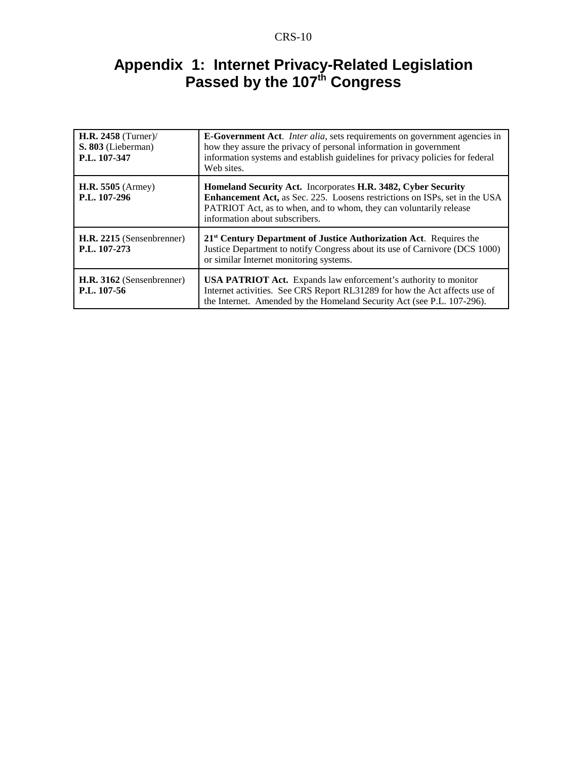### CRS-10

# **Appendix 1: Internet Privacy-Related Legislation** Passed by the 107<sup>th</sup> Congress

| $H.R. 2458$ (Turner)/<br>S. 803 (Lieberman)<br>P.L. 107-347 | <b>E-Government Act.</b> <i>Inter alia</i> , sets requirements on government agencies in<br>how they assure the privacy of personal information in government<br>information systems and establish guidelines for privacy policies for federal<br>Web sites. |
|-------------------------------------------------------------|--------------------------------------------------------------------------------------------------------------------------------------------------------------------------------------------------------------------------------------------------------------|
| H.R. $5505$ (Armey)<br>P.L. 107-296                         | Homeland Security Act. Incorporates H.R. 3482, Cyber Security<br><b>Enhancement Act, as Sec. 225.</b> Loosens restrictions on ISPs, set in the USA<br>PATRIOT Act, as to when, and to whom, they can voluntarily release<br>information about subscribers.   |
| H.R. 2215 (Sensenbrenner)<br>P.L. 107-273                   | 21 <sup>st</sup> Century Department of Justice Authorization Act. Requires the<br>Justice Department to notify Congress about its use of Carnivore (DCS 1000)<br>or similar Internet monitoring systems.                                                     |
| H.R. 3162 (Sensenbrenner)<br>P.L. 107-56                    | <b>USA PATRIOT Act.</b> Expands law enforcement's authority to monitor<br>Internet activities. See CRS Report RL31289 for how the Act affects use of<br>the Internet. Amended by the Homeland Security Act (see P.L. 107-296).                               |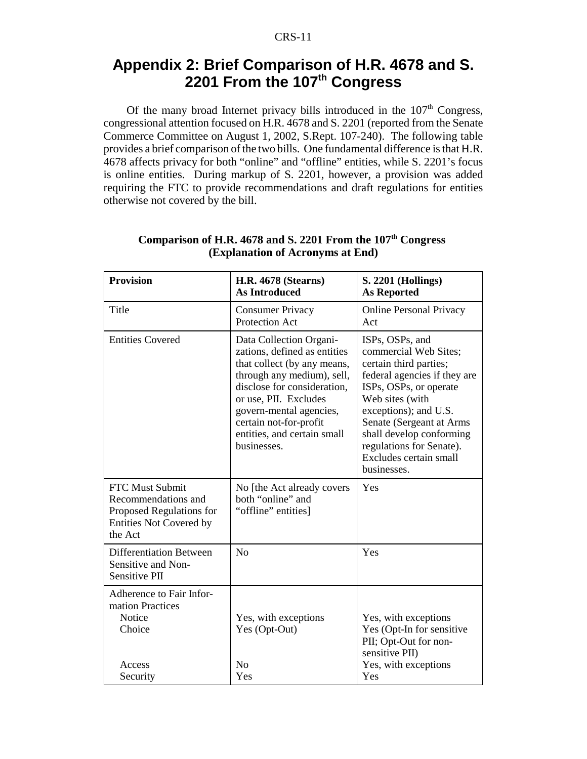#### CRS-11

## **Appendix 2: Brief Comparison of H.R. 4678 and S.** 2201 From the 107<sup>th</sup> Congress

Of the many broad Internet privacy bills introduced in the  $107<sup>th</sup>$  Congress, congressional attention focused on H.R. 4678 and S. 2201 (reported from the Senate Commerce Committee on August 1, 2002, S.Rept. 107-240). The following table provides a brief comparison of the two bills. One fundamental difference is that H.R. 4678 affects privacy for both "online" and "offline" entities, while S. 2201's focus is online entities. During markup of S. 2201, however, a provision was added requiring the FTC to provide recommendations and draft regulations for entities otherwise not covered by the bill.

| <b>Provision</b>                                                                                                       | <b>H.R. 4678 (Stearns)</b><br><b>As Introduced</b>                                                                                                                                                                                                                              | <b>S. 2201 (Hollings)</b><br><b>As Reported</b>                                                                                                                                                                                                                                                       |
|------------------------------------------------------------------------------------------------------------------------|---------------------------------------------------------------------------------------------------------------------------------------------------------------------------------------------------------------------------------------------------------------------------------|-------------------------------------------------------------------------------------------------------------------------------------------------------------------------------------------------------------------------------------------------------------------------------------------------------|
| Title                                                                                                                  | <b>Consumer Privacy</b><br><b>Protection Act</b>                                                                                                                                                                                                                                | <b>Online Personal Privacy</b><br>Act                                                                                                                                                                                                                                                                 |
| <b>Entities Covered</b>                                                                                                | Data Collection Organi-<br>zations, defined as entities<br>that collect (by any means,<br>through any medium), sell,<br>disclose for consideration,<br>or use, PII. Excludes<br>govern-mental agencies,<br>certain not-for-profit<br>entities, and certain small<br>businesses. | ISPs, OSPs, and<br>commercial Web Sites;<br>certain third parties;<br>federal agencies if they are<br>ISPs, OSPs, or operate<br>Web sites (with<br>exceptions); and U.S.<br>Senate (Sergeant at Arms<br>shall develop conforming<br>regulations for Senate).<br>Excludes certain small<br>businesses. |
| <b>FTC Must Submit</b><br>Recommendations and<br>Proposed Regulations for<br><b>Entities Not Covered by</b><br>the Act | No [the Act already covers<br>both "online" and<br>"offline" entities]                                                                                                                                                                                                          | Yes                                                                                                                                                                                                                                                                                                   |
| <b>Differentiation Between</b><br>Sensitive and Non-<br>Sensitive PII                                                  | No                                                                                                                                                                                                                                                                              | Yes                                                                                                                                                                                                                                                                                                   |
| Adherence to Fair Infor-<br>mation Practices<br>Notice<br>Choice                                                       | Yes, with exceptions<br>Yes (Opt-Out)                                                                                                                                                                                                                                           | Yes, with exceptions<br>Yes (Opt-In for sensitive<br>PII; Opt-Out for non-<br>sensitive PII)                                                                                                                                                                                                          |
| Access<br>Security                                                                                                     | N <sub>o</sub><br>Yes                                                                                                                                                                                                                                                           | Yes, with exceptions<br>Yes                                                                                                                                                                                                                                                                           |

#### Comparison of H.R. 4678 and S. 2201 From the 107<sup>th</sup> Congress **(Explanation of Acronyms at End)**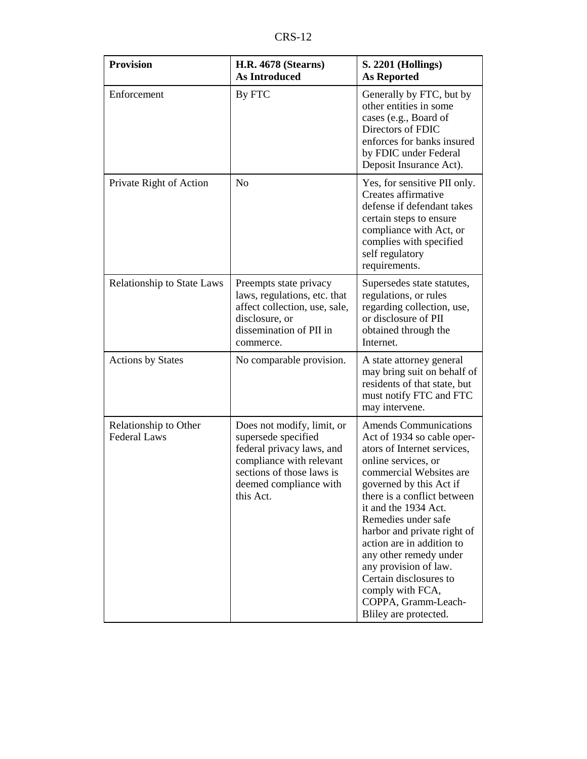| n<br>''<br>v. |  |
|---------------|--|
|---------------|--|

| <b>Provision</b>                             | <b>H.R. 4678 (Stearns)</b><br><b>As Introduced</b>                                                                                                                             | S. 2201 (Hollings)<br><b>As Reported</b>                                                                                                                                                                                                                                                                                                                                                                                                                          |
|----------------------------------------------|--------------------------------------------------------------------------------------------------------------------------------------------------------------------------------|-------------------------------------------------------------------------------------------------------------------------------------------------------------------------------------------------------------------------------------------------------------------------------------------------------------------------------------------------------------------------------------------------------------------------------------------------------------------|
| Enforcement                                  | By FTC                                                                                                                                                                         | Generally by FTC, but by<br>other entities in some<br>cases (e.g., Board of<br>Directors of FDIC<br>enforces for banks insured<br>by FDIC under Federal<br>Deposit Insurance Act).                                                                                                                                                                                                                                                                                |
| Private Right of Action                      | N <sub>0</sub>                                                                                                                                                                 | Yes, for sensitive PII only.<br>Creates affirmative<br>defense if defendant takes<br>certain steps to ensure<br>compliance with Act, or<br>complies with specified<br>self regulatory<br>requirements.                                                                                                                                                                                                                                                            |
| <b>Relationship to State Laws</b>            | Preempts state privacy<br>laws, regulations, etc. that<br>affect collection, use, sale,<br>disclosure, or<br>dissemination of PII in<br>commerce.                              | Supersedes state statutes,<br>regulations, or rules<br>regarding collection, use,<br>or disclosure of PII<br>obtained through the<br>Internet.                                                                                                                                                                                                                                                                                                                    |
| <b>Actions by States</b>                     | No comparable provision.                                                                                                                                                       | A state attorney general<br>may bring suit on behalf of<br>residents of that state, but<br>must notify FTC and FTC<br>may intervene.                                                                                                                                                                                                                                                                                                                              |
| Relationship to Other<br><b>Federal Laws</b> | Does not modify, limit, or<br>supersede specified<br>federal privacy laws, and<br>compliance with relevant<br>sections of those laws is<br>deemed compliance with<br>this Act. | <b>Amends Communications</b><br>Act of 1934 so cable oper-<br>ators of Internet services,<br>online services, or<br>commercial Websites are<br>governed by this Act if<br>there is a conflict between<br>it and the 1934 Act.<br>Remedies under safe<br>harbor and private right of<br>action are in addition to<br>any other remedy under<br>any provision of law.<br>Certain disclosures to<br>comply with FCA,<br>COPPA, Gramm-Leach-<br>Bliley are protected. |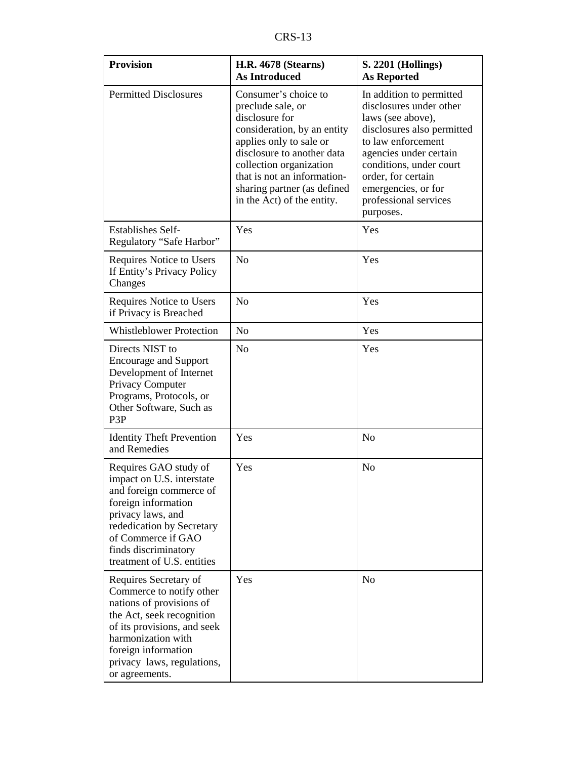| <b>Provision</b>                                                                                                                                                                                                                       | <b>H.R. 4678 (Stearns)</b><br><b>As Introduced</b>                                                                                                                                                                                                                         | <b>S. 2201 (Hollings)</b><br><b>As Reported</b>                                                                                                                                                                                                                      |
|----------------------------------------------------------------------------------------------------------------------------------------------------------------------------------------------------------------------------------------|----------------------------------------------------------------------------------------------------------------------------------------------------------------------------------------------------------------------------------------------------------------------------|----------------------------------------------------------------------------------------------------------------------------------------------------------------------------------------------------------------------------------------------------------------------|
| <b>Permitted Disclosures</b>                                                                                                                                                                                                           | Consumer's choice to<br>preclude sale, or<br>disclosure for<br>consideration, by an entity<br>applies only to sale or<br>disclosure to another data<br>collection organization<br>that is not an information-<br>sharing partner (as defined<br>in the Act) of the entity. | In addition to permitted<br>disclosures under other<br>laws (see above),<br>disclosures also permitted<br>to law enforcement<br>agencies under certain<br>conditions, under court<br>order, for certain<br>emergencies, or for<br>professional services<br>purposes. |
| <b>Establishes Self-</b><br>Regulatory "Safe Harbor"                                                                                                                                                                                   | Yes                                                                                                                                                                                                                                                                        | Yes                                                                                                                                                                                                                                                                  |
| <b>Requires Notice to Users</b><br>If Entity's Privacy Policy<br>Changes                                                                                                                                                               | N <sub>o</sub>                                                                                                                                                                                                                                                             | Yes                                                                                                                                                                                                                                                                  |
| Requires Notice to Users<br>if Privacy is Breached                                                                                                                                                                                     | N <sub>0</sub>                                                                                                                                                                                                                                                             | Yes                                                                                                                                                                                                                                                                  |
| <b>Whistleblower Protection</b>                                                                                                                                                                                                        | N <sub>o</sub>                                                                                                                                                                                                                                                             | Yes                                                                                                                                                                                                                                                                  |
| Directs NIST to<br><b>Encourage and Support</b><br>Development of Internet<br>Privacy Computer<br>Programs, Protocols, or<br>Other Software, Such as<br>P3P                                                                            | N <sub>o</sub>                                                                                                                                                                                                                                                             | Yes                                                                                                                                                                                                                                                                  |
| <b>Identity Theft Prevention</b><br>and Remedies                                                                                                                                                                                       | Yes                                                                                                                                                                                                                                                                        | N <sub>o</sub>                                                                                                                                                                                                                                                       |
| Requires GAO study of<br>impact on U.S. interstate<br>and foreign commerce of<br>foreign information<br>privacy laws, and<br>rededication by Secretary<br>of Commerce if GAO<br>finds discriminatory<br>treatment of U.S. entities     | Yes                                                                                                                                                                                                                                                                        | No                                                                                                                                                                                                                                                                   |
| Requires Secretary of<br>Commerce to notify other<br>nations of provisions of<br>the Act, seek recognition<br>of its provisions, and seek<br>harmonization with<br>foreign information<br>privacy laws, regulations,<br>or agreements. | Yes                                                                                                                                                                                                                                                                        | No                                                                                                                                                                                                                                                                   |